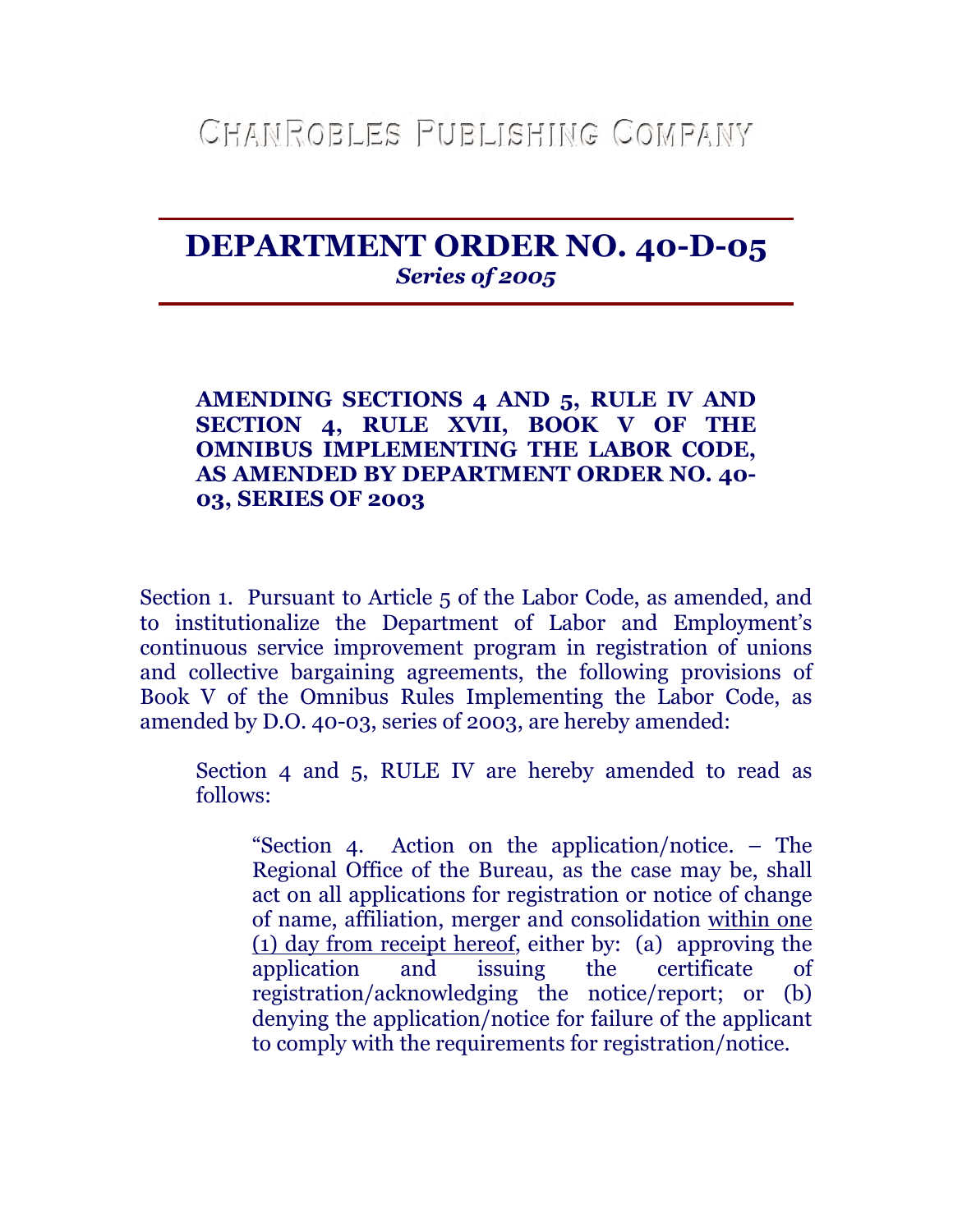## **DEPARTMENT ORDER NO. 40-D-05**  *Series of 2005*

## **AMENDING SECTIONS 4 AND 5, RULE IV AND SECTION 4, RULE XVII, BOOK V OF THE OMNIBUS IMPLEMENTING THE LABOR CODE, AS AMENDED BY DEPARTMENT ORDER NO. 40- 03, SERIES OF 2003**

Section 1. Pursuant to Article 5 of the Labor Code, as amended, and to institutionalize the Department of Labor and Employment's continuous service improvement program in registration of unions and collective bargaining agreements, the following provisions of Book V of the Omnibus Rules Implementing the Labor Code, as amended by  $D.O. 40-03$ , series of 2003, are hereby amended:

Section 4 and 5, RULE IV are hereby amended to read as follows:

"Section 4. Action on the application/notice. – The Regional Office of the Bureau, as the case may be, shall act on all applications for registration or notice of change of name, affiliation, merger and consolidation within one (1) day from receipt hereof, either by: (a) approving the application and issuing the certificate of registration/acknowledging the notice/report; or (b) denying the application/notice for failure of the applicant to comply with the requirements for registration/notice.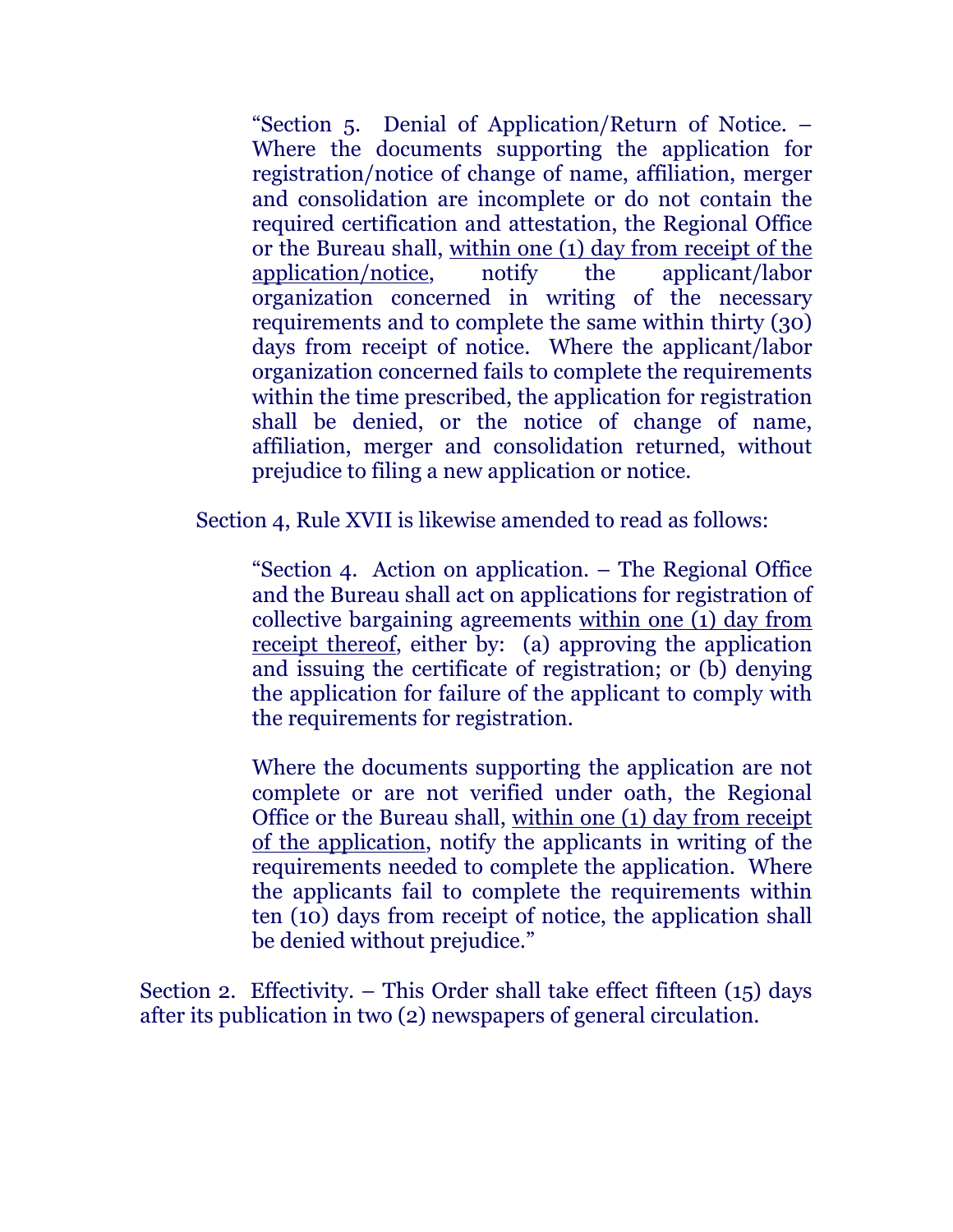"Section 5. Denial of Application/Return of Notice. – Where the documents supporting the application for registration/notice of change of name, affiliation, merger and consolidation are incomplete or do not contain the required certification and attestation, the Regional Office or the Bureau shall, within one (1) day from receipt of the application/notice, notify the applicant/labor organization concerned in writing of the necessary requirements and to complete the same within thirty (30) days from receipt of notice. Where the applicant/labor organization concerned fails to complete the requirements within the time prescribed, the application for registration shall be denied, or the notice of change of name, affiliation, merger and consolidation returned, without prejudice to filing a new application or notice.

Section 4, Rule XVII is likewise amended to read as follows:

"Section 4. Action on application. – The Regional Office and the Bureau shall act on applications for registration of collective bargaining agreements within one (1) day from receipt thereof, either by: (a) approving the application and issuing the certificate of registration; or (b) denying the application for failure of the applicant to comply with the requirements for registration.

Where the documents supporting the application are not complete or are not verified under oath, the Regional Office or the Bureau shall, within one (1) day from receipt of the application, notify the applicants in writing of the requirements needed to complete the application. Where the applicants fail to complete the requirements within ten (10) days from receipt of notice, the application shall be denied without prejudice."

Section 2. Effectivity. – This Order shall take effect fifteen  $(15)$  days after its publication in two (2) newspapers of general circulation.